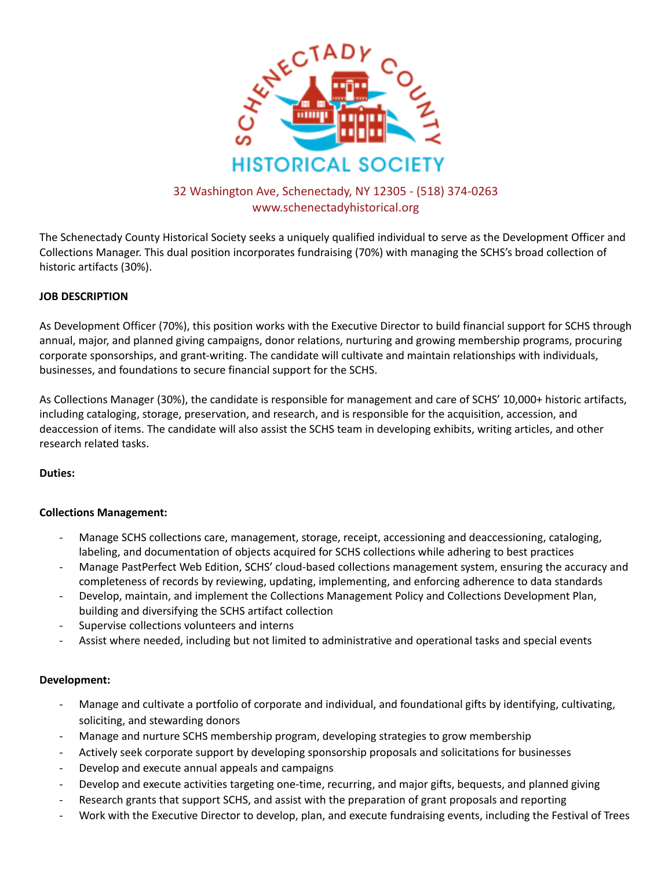

# 32 Washington Ave, Schenectady, NY 12305 - (518) 374-0263 www.schenectadyhistorical.org

The Schenectady County Historical Society seeks a uniquely qualified individual to serve as the Development Officer and Collections Manager. This dual position incorporates fundraising (70%) with managing the SCHS's broad collection of historic artifacts (30%).

## **JOB DESCRIPTION**

As Development Officer (70%), this position works with the Executive Director to build financial support for SCHS through annual, major, and planned giving campaigns, donor relations, nurturing and growing membership programs, procuring corporate sponsorships, and grant-writing. The candidate will cultivate and maintain relationships with individuals, businesses, and foundations to secure financial support for the SCHS.

As Collections Manager (30%), the candidate is responsible for management and care of SCHS' 10,000+ historic artifacts, including cataloging, storage, preservation, and research, and is responsible for the acquisition, accession, and deaccession of items. The candidate will also assist the SCHS team in developing exhibits, writing articles, and other research related tasks.

### **Duties:**

### **Collections Management:**

- Manage SCHS collections care, management, storage, receipt, accessioning and deaccessioning, cataloging, labeling, and documentation of objects acquired for SCHS collections while adhering to best practices
- Manage PastPerfect Web Edition, SCHS' cloud-based collections management system, ensuring the accuracy and completeness of records by reviewing, updating, implementing, and enforcing adherence to data standards
- Develop, maintain, and implement the Collections Management Policy and Collections Development Plan, building and diversifying the SCHS artifact collection
- Supervise collections volunteers and interns
- Assist where needed, including but not limited to administrative and operational tasks and special events

### **Development:**

- Manage and cultivate a portfolio of corporate and individual, and foundational gifts by identifying, cultivating, soliciting, and stewarding donors
- Manage and nurture SCHS membership program, developing strategies to grow membership
- Actively seek corporate support by developing sponsorship proposals and solicitations for businesses
- Develop and execute annual appeals and campaigns
- Develop and execute activities targeting one-time, recurring, and major gifts, bequests, and planned giving
- Research grants that support SCHS, and assist with the preparation of grant proposals and reporting
- Work with the Executive Director to develop, plan, and execute fundraising events, including the Festival of Trees